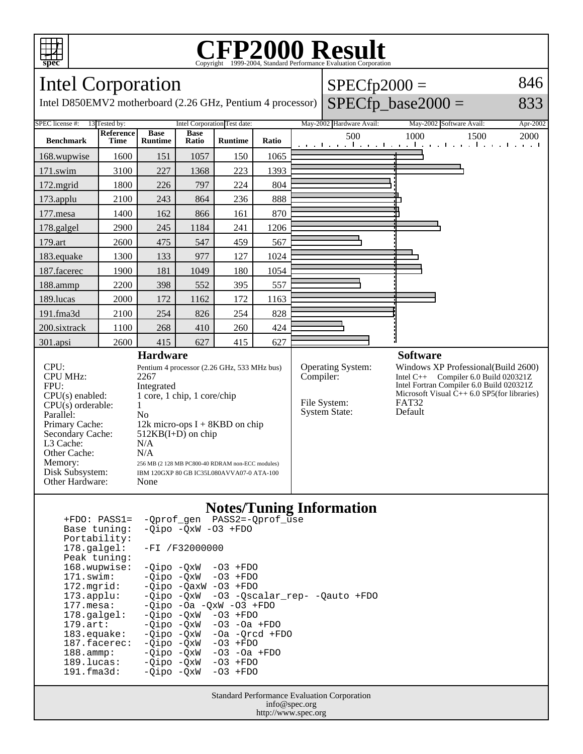

### **CFP2000 Result** Copyright ©1999-2004, Standard Performance Evaluati

#### Intel Corporation Intel D850EMV2 motherboard (2.26 GHz, Pentium 4 processor)  $SPECfp2000 =$  $SPECfp\_base2000 =$ 846 833 SPEC license #: 13 Tested by: Intel Corporation Test date: May-2002 Hardware Avail: May-2002 Software Avail: Apr-2002 **Benchmark Reference Time Base Runtime Base Ratio Runtime Ratio** 500 1000 1500 2000 168.wupwise 1600 151 1057 150 1065 171.swim | 3100 | 227 | 1368 | 223 | 1393 172.mgrid | 1800 | 226 | 797 | 224 | 804 173.applu | 2100 | 243 | 864 | 236 | 888 177. mesa | 1400 | 162 | 866 | 161 | 870 178.galgel | 2900 | 245 | 1184 | 241 | 1206 179.art | 2600 | 475 | 547 | 459 | 567 183.equake 1300 133 977 127 1024 187.facerec | 1900 | 181 | 1049 | 180 | 1054 188.ammp | 2200 | 398 | 552 | 395 | 557 189.lucas | 2000 | 172 | 1162 | 172 | 1163 191.fma3d 2100 254 826 254 828 200.sixtrack 1100 268 410 260 424 301.apsi | 2600 | 415 | 627 | 415 | 627 **Hardware** CPU: Pentium 4 processor (2.26 GHz, 533 MHz bus) CPU MHz: 2267 FPU: Integrated<br>CPU(s) enabled: 1 core, 1 c  $1$  core,  $1$  chip,  $1$  core/chip  $CPU(s)$  orderable:  $1$ Parallel: No<br>Primary Cache: 12k 12k micro-ops  $I + 8KBD$  on chip Secondary Cache: 512KB(I+D) on chip L3 Cache: N/A<br>Other Cache: N/A Other Cache:<br>Memory: 256 MB (2 128 MB PC800-40 RDRAM non-ECC modules) Disk Subsystem: IBM 120GXP 80 GB IC35L080AVVA07-0 ATA-100 Other Hardware: None **Software** Operating System: Windows XP Professional(Build 2600)<br>Compiler: Intel C++ Compiler 6.0 Build 020321Z Intel  $C_{++}$  Compiler 6.0 Build 020321Z Intel Fortran Compiler 6.0 Build 020321Z Microsoft Visual  $\hat{C}_{++}$  6.0 SP5(for libraries)<br>FAT32 File System: FAT32<br>System State: Default System State:

### **Notes/Tuning Information**

| $+FDO: PASS1=$         | -Oprof gen PASS2=-Oprof use              |
|------------------------|------------------------------------------|
| Base tuning:           | $-Oipo -OXW -O3 + FDO$                   |
| Portability:           |                                          |
| $178.\texttt{qalqel:}$ | $-FI / F32000000$                        |
| Peak tuning:           |                                          |
| 168.wupwise:           | $-Oipo -OXW -O3 + FDO$                   |
| 171.swim:              | $-Oipo -OXW - O3 + FDO$                  |
| 172.mqrid:             | $-Oipo$ $-OaxW$ $-O3$ $+FDO$             |
| $173.appendu$ :        | -Qipo -QxW -O3 -Qscalar rep- -Qauto +FDO |
| $177.$ mesa:           | $-Qipo$ -Oa -QxW -O3 +FDO                |
| $178.\text{qalgel}$ :  | $-Oipo$ $-OxW$ $-O3$ $+FDO$              |
| $179.\text{art}$ :     | $-Oipo$ $-OxW$ $-O3$ $-Oa$ $+FDO$        |
| $183$ .equake:         | $-Oipo$ $-OxW$ $-Oa$ $-Orcd$ $+FDO$      |
| 187.facerec:           | $-Oipo$ $-OxW$ $-O3$ $+FDO$              |
| $188.\text{ammp}:$     | $-Oipo$ $-OxW$ $-O3$ $-Oa$ $+FDO$        |
| 189.lucas:             | -Oipo -OxW<br>$-03$ +FDO                 |
| $191.f$ ma $3d:$       | -Oipo -OxW<br>$-03$ +FDO                 |
|                        |                                          |

Standard Performance Evaluation Corporation info@spec.org http://www.spec.org